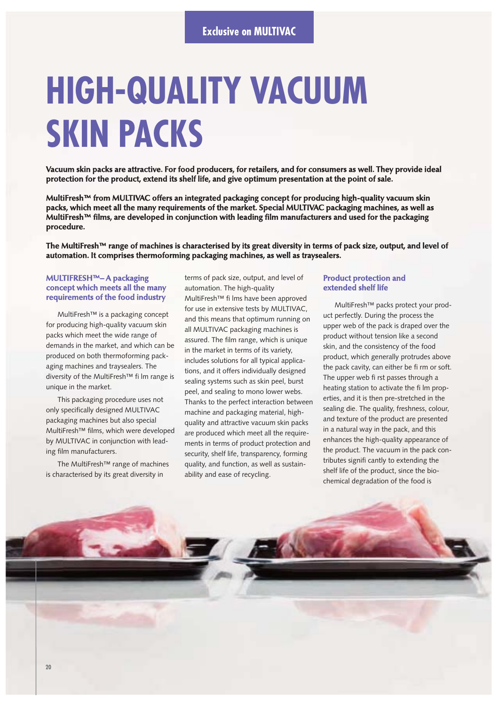# **HIGH-QUALITY VACUUM SKIN PACKS**

**Vacuum skin packs are attractive. For food producers, for retailers, and for consumers as well. They provide ideal protection for the product, extend its shelf life, and give optimum presentation at the point of sale.**

**MultiFresh™ from MULTIVAC offers an integrated packaging concept for producing high-quality vacuum skin packs, which meet all the many requirements of the market. Special MULTIVAC packaging machines, as well as MultiFresh™ films, are developed in conjunction with leading film manufacturers and used for the packaging procedure.**

**The MultiFresh™ range of machines is characterised by its great diversity in terms of pack size, output, and level of automation. It comprises thermoforming packaging machines, as well as traysealers.**

#### **MULTIFRESH™– A packaging concept which meets all the many requirements of the food industry**

MultiFresh™ is a packaging concept for producing high-quality vacuum skin packs which meet the wide range of demands in the market, and which can be produced on both thermoforming packaging machines and traysealers. The diversity of the MultiFresh™ fi lm range is unique in the market.

This packaging procedure uses not only specifically designed MULTIVAC packaging machines but also special MultiFresh™ films, which were developed by MULTIVAC in conjunction with leading film manufacturers.

The MultiFresh™ range of machines is characterised by its great diversity in

terms of pack size, output, and level of automation. The high-quality MultiFresh™ fi lms have been approved for use in extensive tests by MULTIVAC, and this means that optimum running on all MULTIVAC packaging machines is assured. The film range, which is unique in the market in terms of its variety, includes solutions for all typical applications, and it offers individually designed sealing systems such as skin peel, burst peel, and sealing to mono lower webs. Thanks to the perfect interaction between machine and packaging material, highquality and attractive vacuum skin packs are produced which meet all the requirements in terms of product protection and security, shelf life, transparency, forming quality, and function, as well as sustainability and ease of recycling.

#### **Product protection and extended shelf life**

MultiFresh™ packs protect your product perfectly. During the process the upper web of the pack is draped over the product without tension like a second skin, and the consistency of the food product, which generally protrudes above the pack cavity, can either be fi rm or soft. The upper web fi rst passes through a heating station to activate the fi lm properties, and it is then pre-stretched in the sealing die. The quality, freshness, colour, and texture of the product are presented in a natural way in the pack, and this enhances the high-quality appearance of the product. The vacuum in the pack contributes signifi cantly to extending the shelf life of the product, since the biochemical degradation of the food is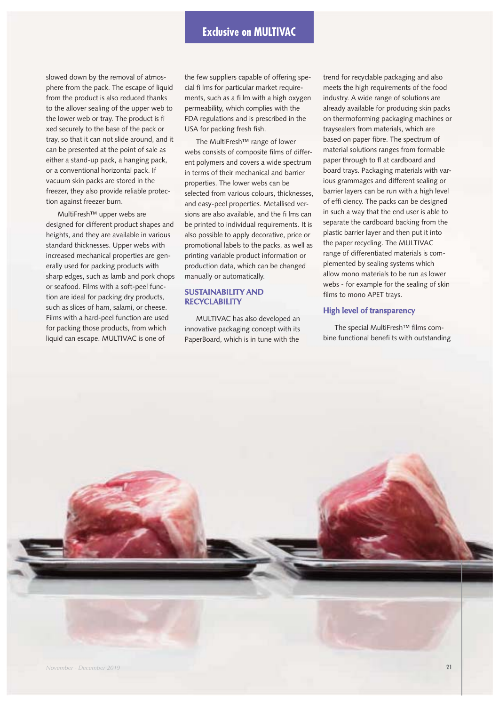slowed down by the removal of atmosphere from the pack. The escape of liquid from the product is also reduced thanks to the allover sealing of the upper web to the lower web or tray. The product is fi xed securely to the base of the pack or tray, so that it can not slide around, and it can be presented at the point of sale as either a stand-up pack, a hanging pack, or a conventional horizontal pack. If vacuum skin packs are stored in the freezer, they also provide reliable protection against freezer burn.

MultiFresh™ upper webs are designed for different product shapes and heights, and they are available in various standard thicknesses. Upper webs with increased mechanical properties are generally used for packing products with sharp edges, such as lamb and pork chops or seafood. Films with a soft-peel function are ideal for packing dry products, such as slices of ham, salami, or cheese. Films with a hard-peel function are used for packing those products, from which liquid can escape. MULTIVAC is one of

the few suppliers capable of offering special fi lms for particular market requirements, such as a fi lm with a high oxygen permeability, which complies with the FDA regulations and is prescribed in the USA for packing fresh fish.

The MultiFresh™ range of lower webs consists of composite films of different polymers and covers a wide spectrum in terms of their mechanical and barrier properties. The lower webs can be selected from various colours, thicknesses, and easy-peel properties. Metallised versions are also available, and the fi lms can be printed to individual requirements. It is also possible to apply decorative, price or promotional labels to the packs, as well as printing variable product information or production data, which can be changed manually or automatically.

### **SUSTAINABILITY AND RECYCLABILITY**

MULTIVAC has also developed an innovative packaging concept with its PaperBoard, which is in tune with the

trend for recyclable packaging and also meets the high requirements of the food industry. A wide range of solutions are already available for producing skin packs on thermoforming packaging machines or traysealers from materials, which are based on paper fibre. The spectrum of material solutions ranges from formable paper through to fl at cardboard and board trays. Packaging materials with various grammages and different sealing or barrier layers can be run with a high level of effi ciency. The packs can be designed in such a way that the end user is able to separate the cardboard backing from the plastic barrier layer and then put it into the paper recycling. The MULTIVAC range of differentiated materials is complemented by sealing systems which allow mono materials to be run as lower webs - for example for the sealing of skin films to mono APET trays.

#### **High level of transparency**

The special MultiFresh™ films combine functional benefi ts with outstanding

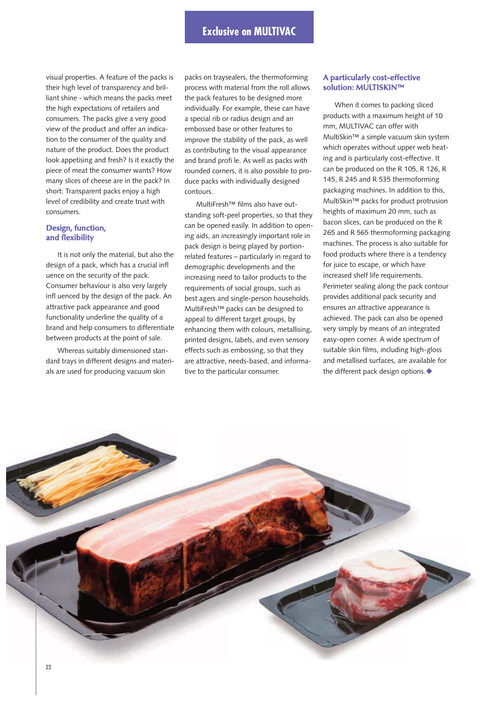visual properties. A feature of the packs is their high level of transparency and brilliant shine - which means the packs meet the high expectations of retailers and consumers. The packs give a very good view of the product and offer an indication to the consumer of the quality and nature of the product. Does the product look appetising and fresh? Is it exactly the piece of meat the consumer wants? How many slices of cheese are in the pack? In short: Transparent packs enjoy a high level of credibility and create trust with consumers.

#### **Design, function, and flexibility**

It is not only the material, but also the design of a pack, which has a crucial infl uence on the security of the pack. Consumer behaviour is also very largely infl uenced by the design of the pack. An attractive pack appearance and good functionality underline the quality of a brand and help consumers to differentiate between products at the point of sale.

Whereas suitably dimensioned standard trays in different designs and materials are used for producing vacuum skin

packs on traysealers, the thermoforming process with material from the roll allows the pack features to be designed more individually. For example, these can have a special rib or radius design and an embossed base or other features to improve the stability of the pack, as well as contributing to the visual appearance and brand profi le. As well as packs with rounded corners, it is also possible to produce packs with individually designed contours.

MultiFresh™ films also have outstanding soft-peel properties, so that they can be opened easily. In addition to opening aids, an increasingly important role in pack design is being played by portionrelated features – particularly in regard to demographic developments and the increasing need to tailor products to the requirements of social groups, such as best agers and single-person households. MultiFresh™ packs can be designed to appeal to different target groups, by enhancing them with colours, metallising, printed designs, labels, and even sensory effects such as embossing, so that they are attractive, needs-based, and informative to the particular consumer.

#### **A particularly cost-effective solution: MULTISKIN™**

When it comes to packing sliced products with a maximum height of 10 mm, MULTIVAC can offer with MultiSkin™ a simple vacuum skin system which operates without upper web heating and is particularly cost-effective. It can be produced on the R 105, R 126, R 145, R 245 and R 535 thermoforming packaging machines. In addition to this, MultiSkin™ packs for product protrusion heights of maximum 20 mm, such as bacon slices, can be produced on the R 265 and R 565 thermoforming packaging machines. The process is also suitable for food products where there is a tendency for juice to escape, or which have increased shelf life requirements. Perimeter sealing along the pack contour provides additional pack security and ensures an attractive appearance is achieved. The pack can also be opened very simply by means of an integrated easy-open corner. A wide spectrum of suitable skin films, including high-gloss and metallised surfaces, are available for the different pack design options.